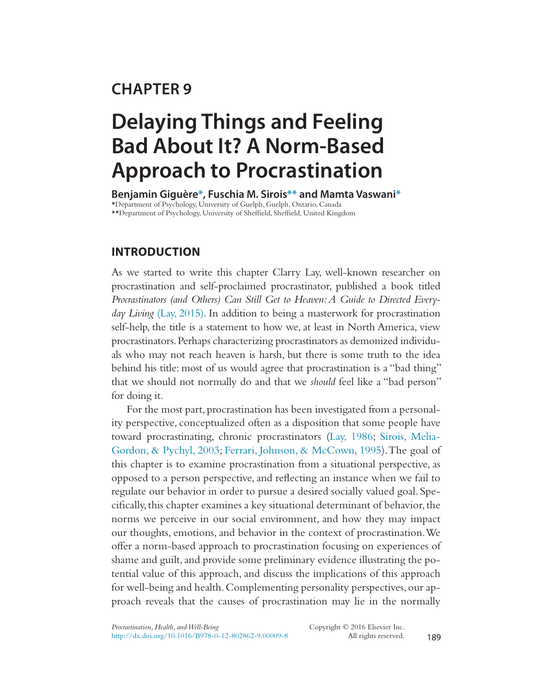# **CHAPTER 9**

# **Delaying Things and Feeling Bad About It? A Norm-Based Approach to Procrastination**

**Benjamin Giguère\*, Fuschia M. Sirois\*\* and Mamta Vaswani\*** \*Department of Psychology, University of Guelph, Guelph, Ontario, Canada \*\*Department of Psychology, University of Sheffield, Sheffield, United Kingdom

## **INTRODUCTION**

As we started to write this chapter Clarry Lay, well-known researcher on procrastination and self-proclaimed procrastinator, published a book titled *Procrastinators (and Others) Can Still Get to Heaven: A Guide to Directed Everyday Living* (Lay, 2015). In addition to being a masterwork for procrastination self-help, the title is a statement to how we, at least in North America, view procrastinators. Perhaps characterizing procrastinators as demonized individuals who may not reach heaven is harsh, but there is some truth to the idea behind his title: most of us would agree that procrastination is a "bad thing" that we should not normally do and that we *should* feel like a "bad person" for doing it.

For the most part, procrastination has been investigated from a personality perspective, conceptualized often as a disposition that some people have toward procrastinating, chronic procrastinators (Lay, 1986; Sirois, Melia-Gordon, & Pychyl, 2003; Ferrari, Johnson, & McCown, 1995). The goal of this chapter is to examine procrastination from a situational perspective, as opposed to a person perspective, and reflecting an instance when we fail to regulate our behavior in order to pursue a desired socially valued goal. Specifically, this chapter examines a key situational determinant of behavior, the norms we perceive in our social environment, and how they may impact our thoughts, emotions, and behavior in the context of procrastination. We offer a norm-based approach to procrastination focusing on experiences of shame and guilt, and provide some preliminary evidence illustrating the potential value of this approach, and discuss the implications of this approach for well-being and health. Complementing personality perspectives, our approach reveals that the causes of procrastination may lie in the normally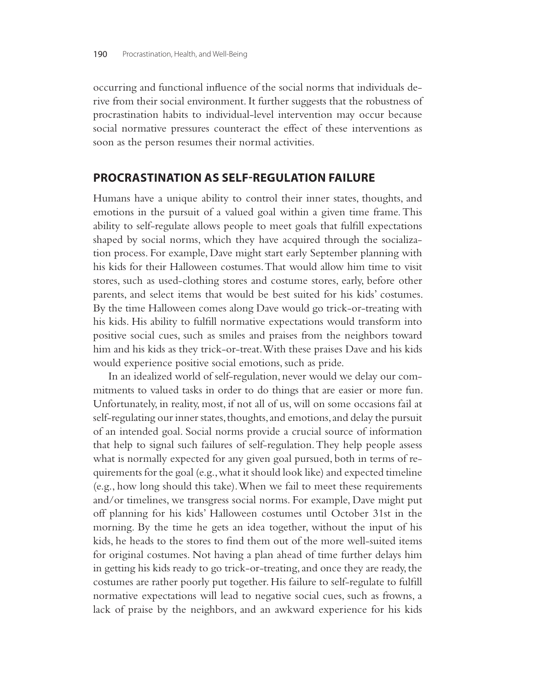occurring and functional influence of the social norms that individuals derive from their social environment. It further suggests that the robustness of procrastination habits to individual-level intervention may occur because social normative pressures counteract the effect of these interventions as soon as the person resumes their normal activities.

## **PROCRASTINATION AS SELFREGULATION FAILURE**

Humans have a unique ability to control their inner states, thoughts, and emotions in the pursuit of a valued goal within a given time frame. This ability to self-regulate allows people to meet goals that fulfill expectations shaped by social norms, which they have acquired through the socialization process. For example, Dave might start early September planning with his kids for their Halloween costumes. That would allow him time to visit stores, such as used-clothing stores and costume stores, early, before other parents, and select items that would be best suited for his kids' costumes. By the time Halloween comes along Dave would go trick-or-treating with his kids. His ability to fulfill normative expectations would transform into positive social cues, such as smiles and praises from the neighbors toward him and his kids as they trick-or-treat. With these praises Dave and his kids would experience positive social emotions, such as pride.

In an idealized world of self-regulation, never would we delay our commitments to valued tasks in order to do things that are easier or more fun. Unfortunately, in reality, most, if not all of us, will on some occasions fail at self-regulating our inner states, thoughts, and emotions, and delay the pursuit of an intended goal. Social norms provide a crucial source of information that help to signal such failures of self-regulation. They help people assess what is normally expected for any given goal pursued, both in terms of requirements for the goal (e.g., what it should look like) and expected timeline (e.g., how long should this take). When we fail to meet these requirements and/or timelines, we transgress social norms. For example, Dave might put off planning for his kids' Halloween costumes until October 31st in the morning. By the time he gets an idea together, without the input of his kids, he heads to the stores to find them out of the more well-suited items for original costumes. Not having a plan ahead of time further delays him in getting his kids ready to go trick-or-treating, and once they are ready, the costumes are rather poorly put together. His failure to self-regulate to fulfill normative expectations will lead to negative social cues, such as frowns, a lack of praise by the neighbors, and an awkward experience for his kids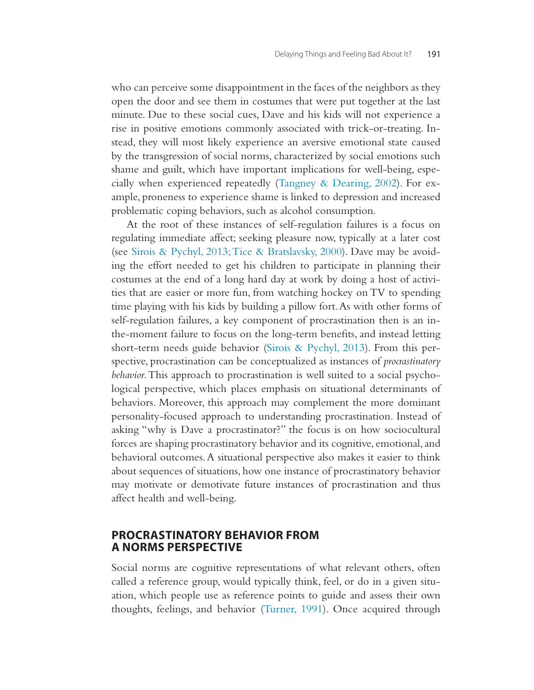who can perceive some disappointment in the faces of the neighbors as they open the door and see them in costumes that were put together at the last minute. Due to these social cues, Dave and his kids will not experience a rise in positive emotions commonly associated with trick-or-treating. Instead, they will most likely experience an aversive emotional state caused by the transgression of social norms, characterized by social emotions such shame and guilt, which have important implications for well-being, especially when experienced repeatedly (Tangney & Dearing, 2002). For example, proneness to experience shame is linked to depression and increased problematic coping behaviors, such as alcohol consumption.

At the root of these instances of self-regulation failures is a focus on regulating immediate affect; seeking pleasure now, typically at a later cost (see Sirois & Pychyl, 2013; Tice & Bratslavsky, 2000). Dave may be avoiding the effort needed to get his children to participate in planning their costumes at the end of a long hard day at work by doing a host of activities that are easier or more fun, from watching hockey on TV to spending time playing with his kids by building a pillow fort. As with other forms of self-regulation failures, a key component of procrastination then is an inthe-moment failure to focus on the long-term benefits, and instead letting short-term needs guide behavior (Sirois & Pychyl, 2013). From this perspective, procrastination can be conceptualized as instances of *procrastinatory behavior*. This approach to procrastination is well suited to a social psychological perspective, which places emphasis on situational determinants of behaviors. Moreover, this approach may complement the more dominant personality-focused approach to understanding procrastination. Instead of asking "why is Dave a procrastinator?" the focus is on how sociocultural forces are shaping procrastinatory behavior and its cognitive, emotional, and behavioral outcomes. A situational perspective also makes it easier to think about sequences of situations, how one instance of procrastinatory behavior may motivate or demotivate future instances of procrastination and thus affect health and well-being.

#### **PROCRASTINATORY BEHAVIOR FROM A NORMS PERSPECTIVE**

Social norms are cognitive representations of what relevant others, often called a reference group, would typically think, feel, or do in a given situation, which people use as reference points to guide and assess their own thoughts, feelings, and behavior (Turner, 1991). Once acquired through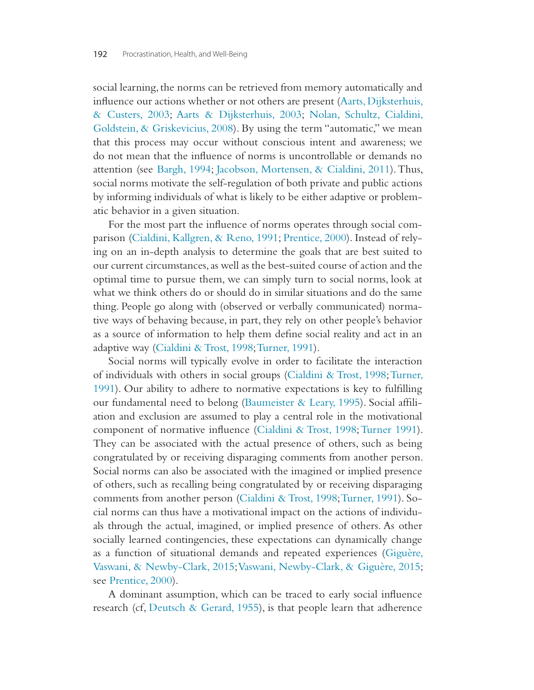social learning, the norms can be retrieved from memory automatically and influence our actions whether or not others are present (Aarts, Dijksterhuis, & Custers, 2003; Aarts & Dijksterhuis, 2003; Nolan, Schultz, Cialdini, Goldstein, & Griskevicius, 2008). By using the term "automatic," we mean that this process may occur without conscious intent and awareness; we do not mean that the influence of norms is uncontrollable or demands no attention (see Bargh, 1994; Jacobson, Mortensen, & Cialdini, 2011). Thus, social norms motivate the self-regulation of both private and public actions by informing individuals of what is likely to be either adaptive or problematic behavior in a given situation.

For the most part the influence of norms operates through social comparison (Cialdini, Kallgren, & Reno, 1991; Prentice, 2000). Instead of relying on an in-depth analysis to determine the goals that are best suited to our current circumstances, as well as the best-suited course of action and the optimal time to pursue them, we can simply turn to social norms, look at what we think others do or should do in similar situations and do the same thing. People go along with (observed or verbally communicated) normative ways of behaving because, in part, they rely on other people's behavior as a source of information to help them define social reality and act in an adaptive way (Cialdini & Trost, 1998; Turner, 1991).

Social norms will typically evolve in order to facilitate the interaction of individuals with others in social groups (Cialdini & Trost, 1998; Turner, 1991). Our ability to adhere to normative expectations is key to fulfilling our fundamental need to belong (Baumeister & Leary, 1995). Social affiliation and exclusion are assumed to play a central role in the motivational component of normative influence (Cialdini & Trost, 1998; Turner 1991). They can be associated with the actual presence of others, such as being congratulated by or receiving disparaging comments from another person. Social norms can also be associated with the imagined or implied presence of others, such as recalling being congratulated by or receiving disparaging comments from another person (Cialdini & Trost, 1998; Turner, 1991). Social norms can thus have a motivational impact on the actions of individuals through the actual, imagined, or implied presence of others. As other socially learned contingencies, these expectations can dynamically change as a function of situational demands and repeated experiences (Giguère, Vaswani, & Newby-Clark, 2015; Vaswani, Newby-Clark, & Giguère, 2015; see Prentice, 2000).

A dominant assumption, which can be traced to early social influence research (cf, Deutsch & Gerard, 1955), is that people learn that adherence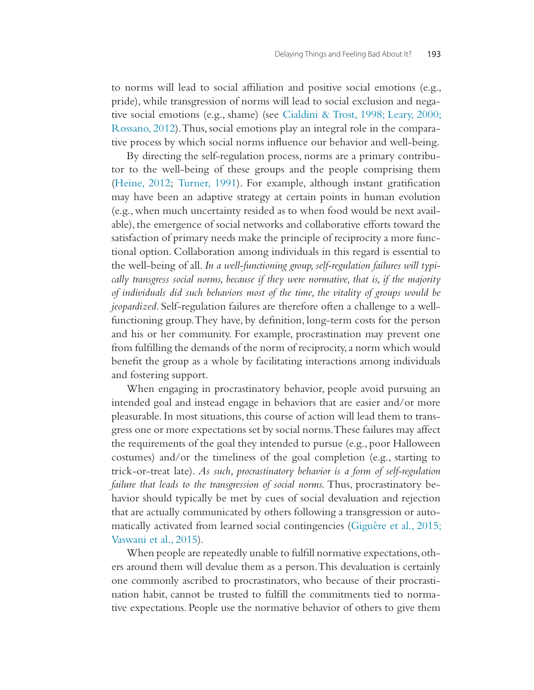to norms will lead to social affiliation and positive social emotions (e.g., pride), while transgression of norms will lead to social exclusion and negative social emotions (e.g., shame) (see Cialdini & Trost, 1998; Leary, 2000; Rossano, 2012). Thus, social emotions play an integral role in the comparative process by which social norms influence our behavior and well-being.

By directing the self-regulation process, norms are a primary contributor to the well-being of these groups and the people comprising them (Heine, 2012; Turner, 1991). For example, although instant gratification may have been an adaptive strategy at certain points in human evolution (e.g., when much uncertainty resided as to when food would be next available), the emergence of social networks and collaborative efforts toward the satisfaction of primary needs make the principle of reciprocity a more functional option. Collaboration among individuals in this regard is essential to the well-being of all. *In a well-functioning group, self-regulation failures will typically transgress social norms, because if they were normative, that is, if the majority of individuals did such behaviors most of the time, the vitality of groups would be jeopardized*. Self-regulation failures are therefore often a challenge to a wellfunctioning group. They have, by definition, long-term costs for the person and his or her community. For example, procrastination may prevent one from fulfilling the demands of the norm of reciprocity, a norm which would benefit the group as a whole by facilitating interactions among individuals and fostering support.

When engaging in procrastinatory behavior, people avoid pursuing an intended goal and instead engage in behaviors that are easier and/or more pleasurable. In most situations, this course of action will lead them to transgress one or more expectations set by social norms. These failures may affect the requirements of the goal they intended to pursue (e.g., poor Halloween costumes) and/or the timeliness of the goal completion (e.g., starting to trick-or-treat late). *As such, procrastinatory behavior is a form of self-regulation failure that leads to the transgression of social norms.* Thus, procrastinatory behavior should typically be met by cues of social devaluation and rejection that are actually communicated by others following a transgression or automatically activated from learned social contingencies (Giguère et al., 2015; Vaswani et al., 2015).

When people are repeatedly unable to fulfill normative expectations, others around them will devalue them as a person. This devaluation is certainly one commonly ascribed to procrastinators, who because of their procrastination habit, cannot be trusted to fulfill the commitments tied to normative expectations. People use the normative behavior of others to give them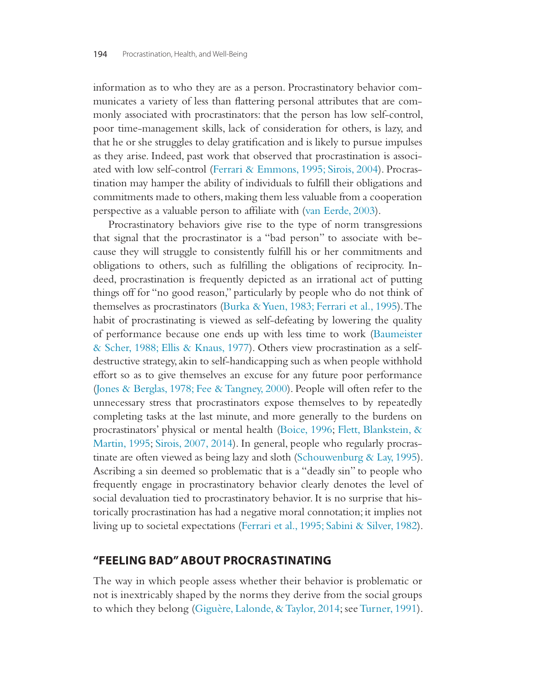information as to who they are as a person. Procrastinatory behavior communicates a variety of less than flattering personal attributes that are commonly associated with procrastinators: that the person has low self-control, poor time-management skills, lack of consideration for others, is lazy, and that he or she struggles to delay gratification and is likely to pursue impulses as they arise. Indeed, past work that observed that procrastination is associated with low self-control (Ferrari & Emmons, 1995; Sirois, 2004). Procrastination may hamper the ability of individuals to fulfill their obligations and commitments made to others, making them less valuable from a cooperation perspective as a valuable person to affiliate with (van Eerde, 2003).

Procrastinatory behaviors give rise to the type of norm transgressions that signal that the procrastinator is a "bad person" to associate with because they will struggle to consistently fulfill his or her commitments and obligations to others, such as fulfilling the obligations of reciprocity. Indeed, procrastination is frequently depicted as an irrational act of putting things off for "no good reason," particularly by people who do not think of themselves as procrastinators (Burka & Yuen, 1983; Ferrari et al., 1995). The habit of procrastinating is viewed as self-defeating by lowering the quality of performance because one ends up with less time to work (Baumeister & Scher, 1988; Ellis & Knaus, 1977). Others view procrastination as a selfdestructive strategy, akin to self-handicapping such as when people withhold effort so as to give themselves an excuse for any future poor performance (Jones & Berglas, 1978; Fee & Tangney, 2000). People will often refer to the unnecessary stress that procrastinators expose themselves to by repeatedly completing tasks at the last minute, and more generally to the burdens on procrastinators' physical or mental health (Boice, 1996; Flett, Blankstein, & Martin, 1995; Sirois, 2007, 2014). In general, people who regularly procrastinate are often viewed as being lazy and sloth (Schouwenburg & Lay, 1995). Ascribing a sin deemed so problematic that is a "deadly sin" to people who frequently engage in procrastinatory behavior clearly denotes the level of social devaluation tied to procrastinatory behavior. It is no surprise that historically procrastination has had a negative moral connotation; it implies not living up to societal expectations (Ferrari et al., 1995; Sabini & Silver, 1982).

#### **"FEELING BAD" ABOUT PROCRASTINATING**

The way in which people assess whether their behavior is problematic or not is inextricably shaped by the norms they derive from the social groups to which they belong (Giguère, Lalonde, & Taylor, 2014; see Turner, 1991).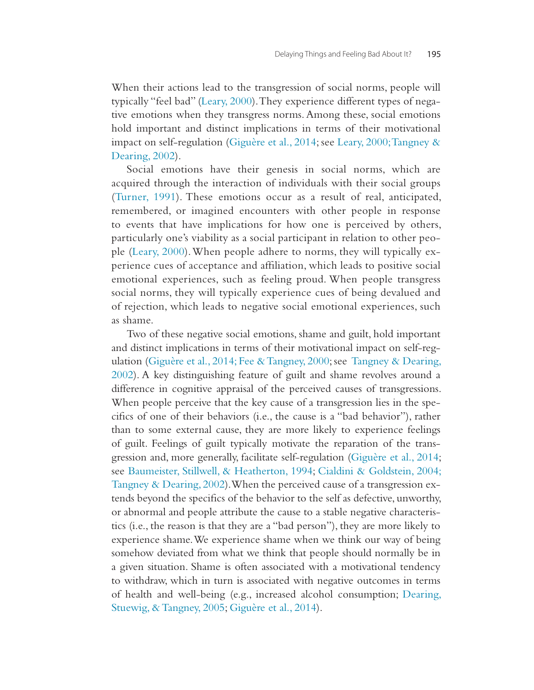When their actions lead to the transgression of social norms, people will typically "feel bad" (Leary, 2000). They experience different types of negative emotions when they transgress norms. Among these, social emotions hold important and distinct implications in terms of their motivational impact on self-regulation (Giguère et al., 2014; see Leary, 2000; Tangney & Dearing, 2002).

Social emotions have their genesis in social norms, which are acquired through the interaction of individuals with their social groups (Turner, 1991). These emotions occur as a result of real, anticipated, remembered, or imagined encounters with other people in response to events that have implications for how one is perceived by others, particularly one's viability as a social participant in relation to other people (Leary, 2000). When people adhere to norms, they will typically experience cues of acceptance and affiliation, which leads to positive social emotional experiences, such as feeling proud. When people transgress social norms, they will typically experience cues of being devalued and of rejection, which leads to negative social emotional experiences, such as shame.

Two of these negative social emotions, shame and guilt, hold important and distinct implications in terms of their motivational impact on self-regulation (Giguère et al., 2014; Fee & Tangney, 2000; see Tangney & Dearing, 2002). A key distinguishing feature of guilt and shame revolves around a difference in cognitive appraisal of the perceived causes of transgressions. When people perceive that the key cause of a transgression lies in the specifics of one of their behaviors (i.e., the cause is a "bad behavior"), rather than to some external cause, they are more likely to experience feelings of guilt. Feelings of guilt typically motivate the reparation of the transgression and, more generally, facilitate self-regulation (Giguère et al., 2014; see Baumeister, Stillwell, & Heatherton, 1994; Cialdini & Goldstein, 2004; Tangney & Dearing, 2002). When the perceived cause of a transgression extends beyond the specifics of the behavior to the self as defective, unworthy, or abnormal and people attribute the cause to a stable negative characteristics (i.e., the reason is that they are a "bad person"), they are more likely to experience shame. We experience shame when we think our way of being somehow deviated from what we think that people should normally be in a given situation. Shame is often associated with a motivational tendency to withdraw, which in turn is associated with negative outcomes in terms of health and well-being (e.g., increased alcohol consumption; Dearing, Stuewig, & Tangney, 2005; Giguère et al., 2014).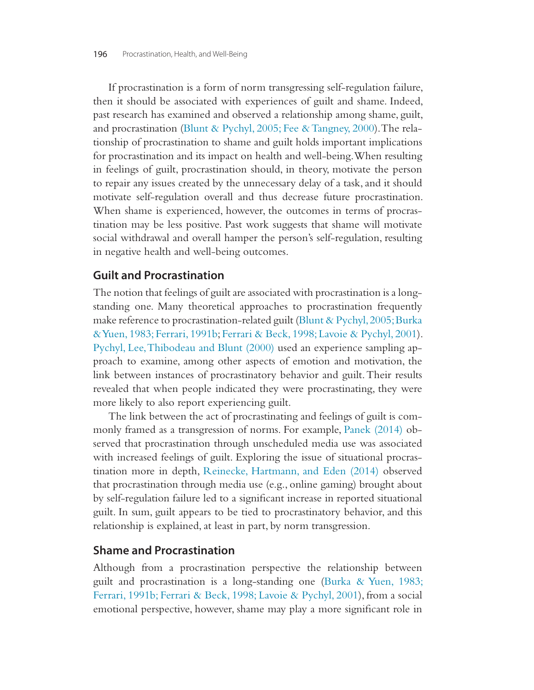If procrastination is a form of norm transgressing self-regulation failure, then it should be associated with experiences of guilt and shame. Indeed, past research has examined and observed a relationship among shame, guilt, and procrastination (Blunt & Pychyl, 2005; Fee & Tangney, 2000). The relationship of procrastination to shame and guilt holds important implications for procrastination and its impact on health and well-being. When resulting in feelings of guilt, procrastination should, in theory, motivate the person to repair any issues created by the unnecessary delay of a task, and it should motivate self-regulation overall and thus decrease future procrastination. When shame is experienced, however, the outcomes in terms of procrastination may be less positive. Past work suggests that shame will motivate social withdrawal and overall hamper the person's self-regulation, resulting in negative health and well-being outcomes.

#### **Guilt and Procrastination**

The notion that feelings of guilt are associated with procrastination is a longstanding one. Many theoretical approaches to procrastination frequently make reference to procrastination-related guilt (Blunt & Pychyl,2005; Burka & Yuen, 1983; Ferrari, 1991b; Ferrari & Beck, 1998; Lavoie & Pychyl, 2001). Pychyl, Lee, Thibodeau and Blunt (2000) used an experience sampling approach to examine, among other aspects of emotion and motivation, the link between instances of procrastinatory behavior and guilt. Their results revealed that when people indicated they were procrastinating, they were more likely to also report experiencing guilt.

The link between the act of procrastinating and feelings of guilt is commonly framed as a transgression of norms. For example, Panek (2014) observed that procrastination through unscheduled media use was associated with increased feelings of guilt. Exploring the issue of situational procrastination more in depth, Reinecke, Hartmann, and Eden (2014) observed that procrastination through media use (e.g., online gaming) brought about by self-regulation failure led to a significant increase in reported situational guilt. In sum, guilt appears to be tied to procrastinatory behavior, and this relationship is explained, at least in part, by norm transgression.

#### **Shame and Procrastination**

Although from a procrastination perspective the relationship between guilt and procrastination is a long-standing one (Burka & Yuen, 1983; Ferrari, 1991b; Ferrari & Beck, 1998; Lavoie & Pychyl, 2001), from a social emotional perspective, however, shame may play a more significant role in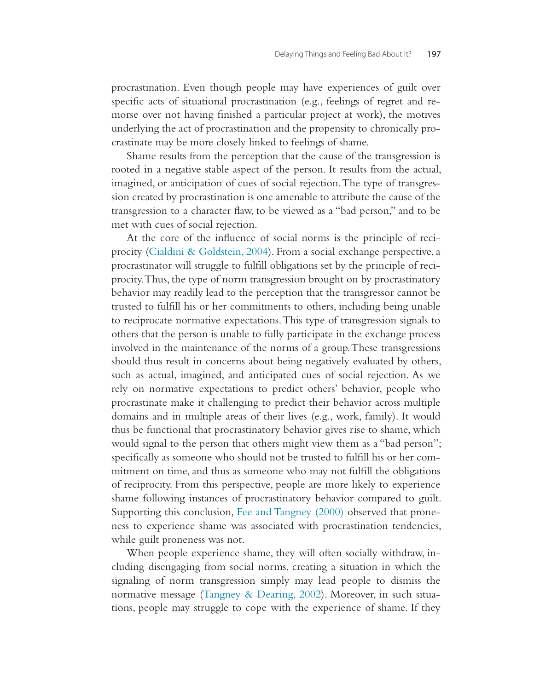procrastination. Even though people may have experiences of guilt over specific acts of situational procrastination (e.g., feelings of regret and remorse over not having finished a particular project at work), the motives underlying the act of procrastination and the propensity to chronically procrastinate may be more closely linked to feelings of shame.

Shame results from the perception that the cause of the transgression is rooted in a negative stable aspect of the person. It results from the actual, imagined, or anticipation of cues of social rejection. The type of transgression created by procrastination is one amenable to attribute the cause of the transgression to a character flaw, to be viewed as a "bad person," and to be met with cues of social rejection.

At the core of the influence of social norms is the principle of reciprocity (Cialdini & Goldstein, 2004). From a social exchange perspective, a procrastinator will struggle to fulfill obligations set by the principle of reciprocity. Thus, the type of norm transgression brought on by procrastinatory behavior may readily lead to the perception that the transgressor cannot be trusted to fulfill his or her commitments to others, including being unable to reciprocate normative expectations. This type of transgression signals to others that the person is unable to fully participate in the exchange process involved in the maintenance of the norms of a group. These transgressions should thus result in concerns about being negatively evaluated by others, such as actual, imagined, and anticipated cues of social rejection. As we rely on normative expectations to predict others' behavior, people who procrastinate make it challenging to predict their behavior across multiple domains and in multiple areas of their lives (e.g., work, family). It would thus be functional that procrastinatory behavior gives rise to shame, which would signal to the person that others might view them as a "bad person"; specifically as someone who should not be trusted to fulfill his or her commitment on time, and thus as someone who may not fulfill the obligations of reciprocity. From this perspective, people are more likely to experience shame following instances of procrastinatory behavior compared to guilt. Supporting this conclusion, Fee and Tangney (2000) observed that proneness to experience shame was associated with procrastination tendencies, while guilt proneness was not.

When people experience shame, they will often socially withdraw, including disengaging from social norms, creating a situation in which the signaling of norm transgression simply may lead people to dismiss the normative message (Tangney & Dearing, 2002). Moreover, in such situations, people may struggle to cope with the experience of shame. If they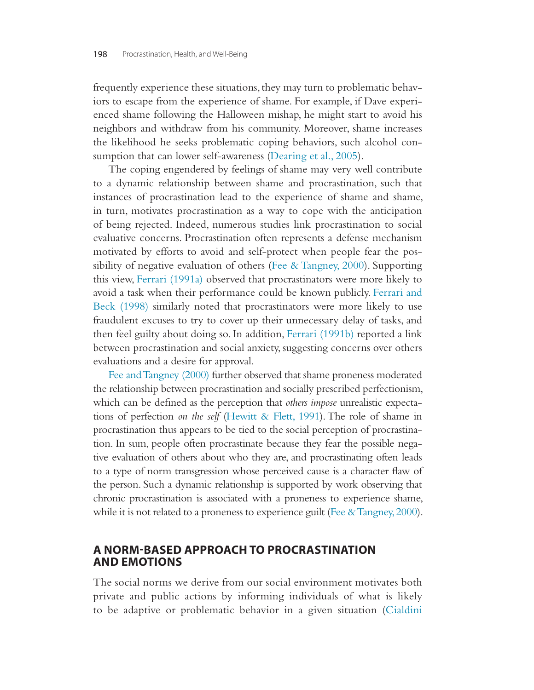frequently experience these situations, they may turn to problematic behaviors to escape from the experience of shame. For example, if Dave experienced shame following the Halloween mishap, he might start to avoid his neighbors and withdraw from his community. Moreover, shame increases the likelihood he seeks problematic coping behaviors, such alcohol consumption that can lower self-awareness (Dearing et al., 2005).

The coping engendered by feelings of shame may very well contribute to a dynamic relationship between shame and procrastination, such that instances of procrastination lead to the experience of shame and shame, in turn, motivates procrastination as a way to cope with the anticipation of being rejected. Indeed, numerous studies link procrastination to social evaluative concerns. Procrastination often represents a defense mechanism motivated by efforts to avoid and self-protect when people fear the possibility of negative evaluation of others (Fee & Tangney, 2000). Supporting this view, Ferrari (1991a) observed that procrastinators were more likely to avoid a task when their performance could be known publicly. Ferrari and Beck (1998) similarly noted that procrastinators were more likely to use fraudulent excuses to try to cover up their unnecessary delay of tasks, and then feel guilty about doing so. In addition, Ferrari (1991b) reported a link between procrastination and social anxiety, suggesting concerns over others evaluations and a desire for approval.

Fee and Tangney (2000) further observed that shame proneness moderated the relationship between procrastination and socially prescribed perfectionism, which can be defined as the perception that *others impose* unrealistic expectations of perfection *on the self* (Hewitt & Flett, 1991). The role of shame in procrastination thus appears to be tied to the social perception of procrastination. In sum, people often procrastinate because they fear the possible negative evaluation of others about who they are, and procrastinating often leads to a type of norm transgression whose perceived cause is a character flaw of the person. Such a dynamic relationship is supported by work observing that chronic procrastination is associated with a proneness to experience shame, while it is not related to a proneness to experience guilt (Fee & Tangney, 2000).

#### **A NORMBASED APPROACH TO PROCRASTINATION AND EMOTIONS**

The social norms we derive from our social environment motivates both private and public actions by informing individuals of what is likely to be adaptive or problematic behavior in a given situation (Cialdini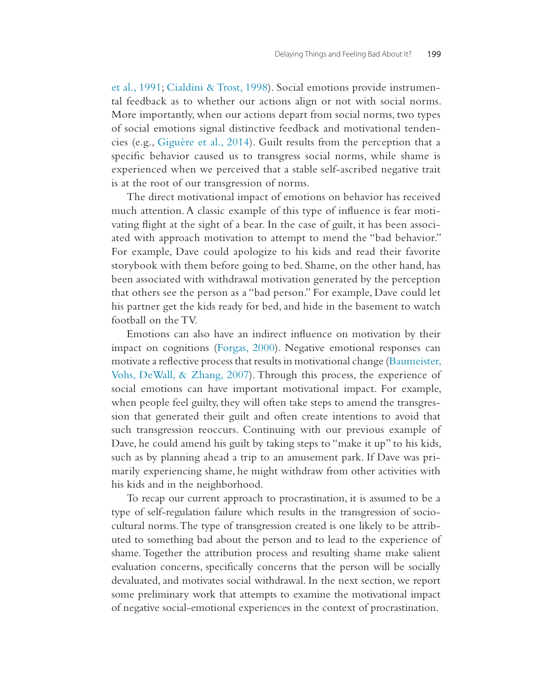et al., 1991; Cialdini & Trost, 1998). Social emotions provide instrumental feedback as to whether our actions align or not with social norms. More importantly, when our actions depart from social norms, two types of social emotions signal distinctive feedback and motivational tendencies (e.g., Giguère et al., 2014). Guilt results from the perception that a specific behavior caused us to transgress social norms, while shame is experienced when we perceived that a stable self-ascribed negative trait is at the root of our transgression of norms.

The direct motivational impact of emotions on behavior has received much attention. A classic example of this type of influence is fear motivating flight at the sight of a bear. In the case of guilt, it has been associated with approach motivation to attempt to mend the "bad behavior." For example, Dave could apologize to his kids and read their favorite storybook with them before going to bed. Shame, on the other hand, has been associated with withdrawal motivation generated by the perception that others see the person as a "bad person." For example, Dave could let his partner get the kids ready for bed, and hide in the basement to watch football on the TV.

Emotions can also have an indirect influence on motivation by their impact on cognitions (Forgas, 2000). Negative emotional responses can motivate a reflective process that results in motivational change (Baumeister, Vohs, DeWall, & Zhang, 2007). Through this process, the experience of social emotions can have important motivational impact. For example, when people feel guilty, they will often take steps to amend the transgression that generated their guilt and often create intentions to avoid that such transgression reoccurs. Continuing with our previous example of Dave, he could amend his guilt by taking steps to "make it up" to his kids, such as by planning ahead a trip to an amusement park. If Dave was primarily experiencing shame, he might withdraw from other activities with his kids and in the neighborhood.

To recap our current approach to procrastination, it is assumed to be a type of self-regulation failure which results in the transgression of sociocultural norms. The type of transgression created is one likely to be attributed to something bad about the person and to lead to the experience of shame. Together the attribution process and resulting shame make salient evaluation concerns, specifically concerns that the person will be socially devaluated, and motivates social withdrawal. In the next section, we report some preliminary work that attempts to examine the motivational impact of negative social-emotional experiences in the context of procrastination.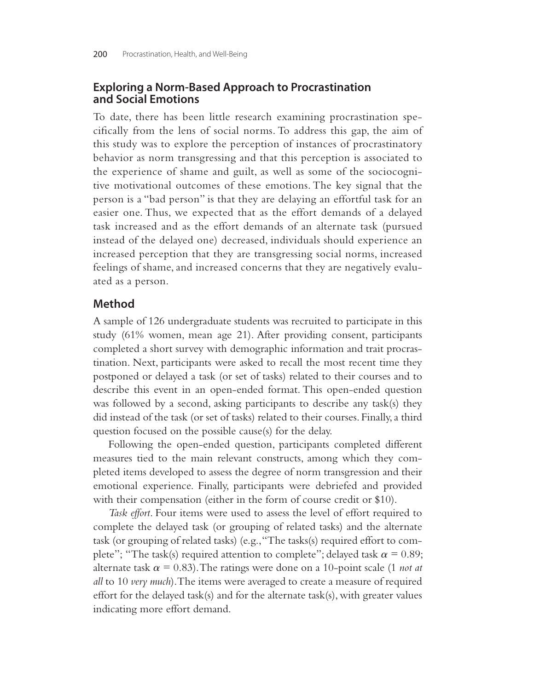#### **Exploring a Norm-Based Approach to Procrastination and Social Emotions**

To date, there has been little research examining procrastination specifically from the lens of social norms. To address this gap, the aim of this study was to explore the perception of instances of procrastinatory behavior as norm transgressing and that this perception is associated to the experience of shame and guilt, as well as some of the sociocognitive motivational outcomes of these emotions. The key signal that the person is a "bad person" is that they are delaying an effortful task for an easier one. Thus, we expected that as the effort demands of a delayed task increased and as the effort demands of an alternate task (pursued instead of the delayed one) decreased, individuals should experience an increased perception that they are transgressing social norms, increased feelings of shame, and increased concerns that they are negatively evaluated as a person.

#### **Method**

A sample of 126 undergraduate students was recruited to participate in this study (61% women, mean age 21). After providing consent, participants completed a short survey with demographic information and trait procrastination. Next, participants were asked to recall the most recent time they postponed or delayed a task (or set of tasks) related to their courses and to describe this event in an open-ended format. This open-ended question was followed by a second, asking participants to describe any task(s) they did instead of the task (or set of tasks) related to their courses. Finally, a third question focused on the possible cause(s) for the delay.

Following the open-ended question, participants completed different measures tied to the main relevant constructs, among which they completed items developed to assess the degree of norm transgression and their emotional experience. Finally, participants were debriefed and provided with their compensation (either in the form of course credit or \$10).

*Task effort*. Four items were used to assess the level of effort required to complete the delayed task (or grouping of related tasks) and the alternate task (or grouping of related tasks) (e.g., "The tasks(s) required effort to complete"; "The task(s) required attention to complete"; delayed task  $\alpha = 0.89$ ; alternate task  $\alpha = 0.83$ ). The ratings were done on a 10-point scale (1 *not at all* to 10 *very much*). The items were averaged to create a measure of required effort for the delayed task(s) and for the alternate task(s), with greater values indicating more effort demand.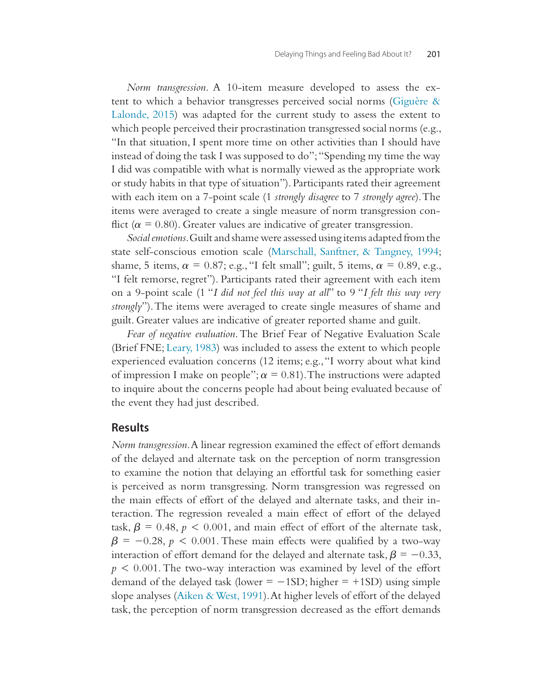*Norm transgression*. A 10-item measure developed to assess the extent to which a behavior transgresses perceived social norms (Giguère & Lalonde, 2015) was adapted for the current study to assess the extent to which people perceived their procrastination transgressed social norms (e.g., "In that situation, I spent more time on other activities than I should have instead of doing the task I was supposed to do"; "Spending my time the way I did was compatible with what is normally viewed as the appropriate work or study habits in that type of situation"). Participants rated their agreement with each item on a 7-point scale (1 *strongly disagree* to 7 *strongly agree*). The items were averaged to create a single measure of norm transgression conflict ( $\alpha$  = 0.80). Greater values are indicative of greater transgression.

*Social emotions*. Guilt and shame were assessed using items adapted from the state self-conscious emotion scale (Marschall, Sanftner, & Tangney, 1994; shame, 5 items,  $\alpha = 0.87$ ; e.g., "I felt small"; guilt, 5 items,  $\alpha = 0.89$ , e.g., "I felt remorse, regret"). Participants rated their agreement with each item on a 9-point scale (1 "*I did not feel this way at all*" to 9 "*I felt this way very strongly*"). The items were averaged to create single measures of shame and guilt. Greater values are indicative of greater reported shame and guilt.

*Fear of negative evaluation*. The Brief Fear of Negative Evaluation Scale (Brief FNE; Leary, 1983) was included to assess the extent to which people experienced evaluation concerns (12 items; e.g., "I worry about what kind of impression I make on people";  $\alpha = 0.81$ ). The instructions were adapted to inquire about the concerns people had about being evaluated because of the event they had just described.

#### **Results**

*Norm transgression*. A linear regression examined the effect of effort demands of the delayed and alternate task on the perception of norm transgression to examine the notion that delaying an effortful task for something easier is perceived as norm transgressing. Norm transgression was regressed on the main effects of effort of the delayed and alternate tasks, and their interaction. The regression revealed a main effect of effort of the delayed task,  $\beta$  = 0.48,  $p$  < 0.001, and main effect of effort of the alternate task,  $\beta$  = −0.28, *p* < 0.001. These main effects were qualified by a two-way interaction of effort demand for the delayed and alternate task,  $\beta = -0.33$ ,  $p < 0.001$ . The two-way interaction was examined by level of the effort demand of the delayed task (lower =  $-1SD$ ; higher =  $+1SD$ ) using simple slope analyses (Aiken & West, 1991). At higher levels of effort of the delayed task, the perception of norm transgression decreased as the effort demands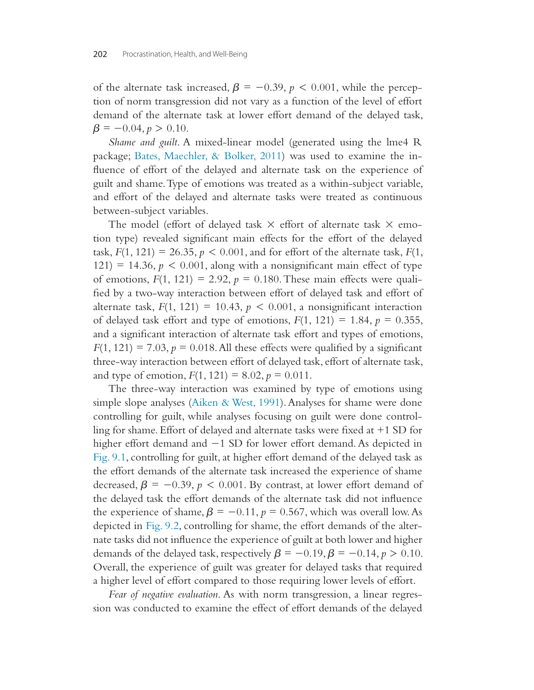of the alternate task increased,  $\beta$  = −0.39,  $p$  < 0.001, while the perception of norm transgression did not vary as a function of the level of effort demand of the alternate task at lower effort demand of the delayed task,  $\beta = -0.04, p > 0.10$ .

*Shame and guilt*. A mixed-linear model (generated using the lme4 R package; Bates, Maechler, & Bolker, 2011) was used to examine the influence of effort of the delayed and alternate task on the experience of guilt and shame. Type of emotions was treated as a within-subject variable, and effort of the delayed and alternate tasks were treated as continuous between-subject variables.

The model (effort of delayed task  $\times$  effort of alternate task  $\times$  emotion type) revealed significant main effects for the effort of the delayed task,  $F(1, 121) = 26.35$ ,  $p < 0.001$ , and for effort of the alternate task,  $F(1, 121)$  $121$ ) = 14.36,  $p < 0.001$ , along with a nonsignificant main effect of type of emotions,  $F(1, 121) = 2.92$ ,  $p = 0.180$ . These main effects were qualified by a two-way interaction between effort of delayed task and effort of alternate task,  $F(1, 121) = 10.43$ ,  $p < 0.001$ , a nonsignificant interaction of delayed task effort and type of emotions,  $F(1, 121) = 1.84$ ,  $p = 0.355$ , and a significant interaction of alternate task effort and types of emotions,  $F(1, 121) = 7.03$ ,  $p = 0.018$ . All these effects were qualified by a significant three-way interaction between effort of delayed task, effort of alternate task, and type of emotion,  $F(1, 121) = 8.02$ ,  $p = 0.011$ .

The three-way interaction was examined by type of emotions using simple slope analyses (Aiken & West, 1991). Analyses for shame were done controlling for guilt, while analyses focusing on guilt were done controlling for shame. Effort of delayed and alternate tasks were fixed at +1 SD for higher effort demand and −1 SD for lower effort demand. As depicted in Fig. 9.1, controlling for guilt, at higher effort demand of the delayed task as the effort demands of the alternate task increased the experience of shame decreased,  $\beta$  = −0.39,  $p$  < 0.001. By contrast, at lower effort demand of the delayed task the effort demands of the alternate task did not influence the experience of shame,  $\beta = -0.11$ ,  $p = 0.567$ , which was overall low. As depicted in Fig. 9.2, controlling for shame, the effort demands of the alternate tasks did not influence the experience of guilt at both lower and higher demands of the delayed task, respectively  $\beta = -0.19$ ,  $\beta = -0.14$ ,  $p > 0.10$ . Overall, the experience of guilt was greater for delayed tasks that required a higher level of effort compared to those requiring lower levels of effort.

*Fear of negative evaluation*. As with norm transgression, a linear regression was conducted to examine the effect of effort demands of the delayed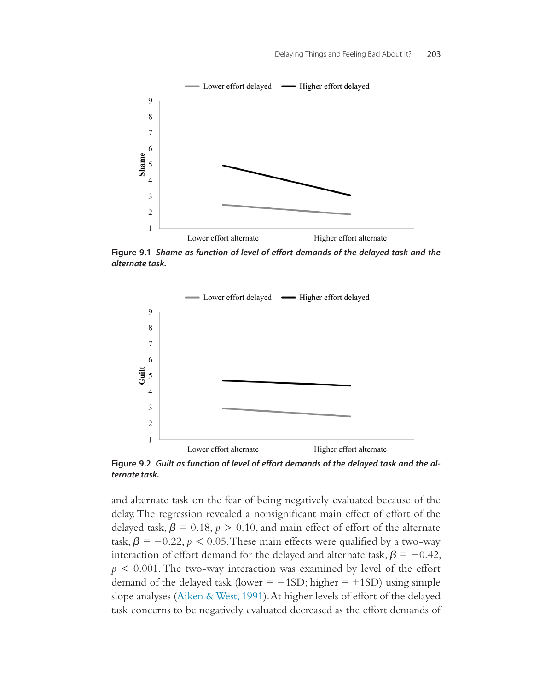

**Figure 9.1** *Shame as function of level of effort demands of the delayed task and the alternate task.*



**Figure 9.2** *Guilt as function of level of effort demands of the delayed task and the alternate task.*

and alternate task on the fear of being negatively evaluated because of the delay. The regression revealed a nonsignificant main effect of effort of the delayed task,  $\beta$  = 0.18,  $p$  > 0.10, and main effect of effort of the alternate task,  $\beta$  = −0.22, *p* < 0.05. These main effects were qualified by a two-way interaction of effort demand for the delayed and alternate task,  $\beta = -0.42$ ,  $p < 0.001$ . The two-way interaction was examined by level of the effort demand of the delayed task (lower =  $-1SD$ ; higher =  $+1SD$ ) using simple slope analyses (Aiken & West, 1991). At higher levels of effort of the delayed task concerns to be negatively evaluated decreased as the effort demands of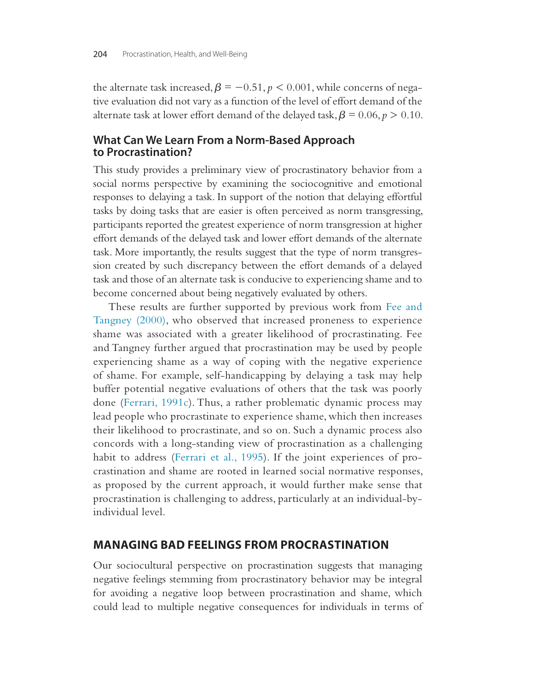the alternate task increased,  $\beta = -0.51$ ,  $p < 0.001$ , while concerns of negative evaluation did not vary as a function of the level of effort demand of the alternate task at lower effort demand of the delayed task,  $\beta$  = 0.06,  $p$  > 0.10.

#### **What Can We Learn From a Norm-Based Approach to Procrastination?**

This study provides a preliminary view of procrastinatory behavior from a social norms perspective by examining the sociocognitive and emotional responses to delaying a task. In support of the notion that delaying effortful tasks by doing tasks that are easier is often perceived as norm transgressing, participants reported the greatest experience of norm transgression at higher effort demands of the delayed task and lower effort demands of the alternate task. More importantly, the results suggest that the type of norm transgression created by such discrepancy between the effort demands of a delayed task and those of an alternate task is conducive to experiencing shame and to become concerned about being negatively evaluated by others.

These results are further supported by previous work from Fee and Tangney (2000), who observed that increased proneness to experience shame was associated with a greater likelihood of procrastinating. Fee and Tangney further argued that procrastination may be used by people experiencing shame as a way of coping with the negative experience of shame. For example, self-handicapping by delaying a task may help buffer potential negative evaluations of others that the task was poorly done (Ferrari, 1991c). Thus, a rather problematic dynamic process may lead people who procrastinate to experience shame, which then increases their likelihood to procrastinate, and so on. Such a dynamic process also concords with a long-standing view of procrastination as a challenging habit to address (Ferrari et al., 1995). If the joint experiences of procrastination and shame are rooted in learned social normative responses, as proposed by the current approach, it would further make sense that procrastination is challenging to address, particularly at an individual-byindividual level.

#### **MANAGING BAD FEELINGS FROM PROCRASTINATION**

Our sociocultural perspective on procrastination suggests that managing negative feelings stemming from procrastinatory behavior may be integral for avoiding a negative loop between procrastination and shame, which could lead to multiple negative consequences for individuals in terms of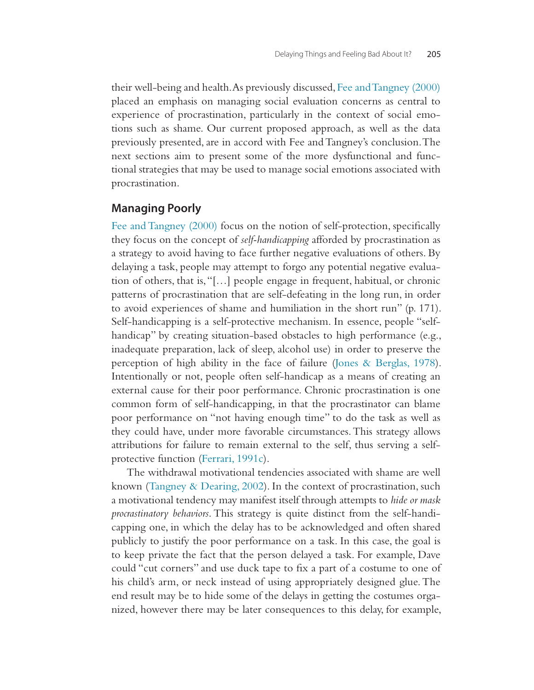their well-being and health. As previously discussed, Fee and Tangney (2000) placed an emphasis on managing social evaluation concerns as central to experience of procrastination, particularly in the context of social emotions such as shame. Our current proposed approach, as well as the data previously presented, are in accord with Fee and Tangney's conclusion. The next sections aim to present some of the more dysfunctional and functional strategies that may be used to manage social emotions associated with procrastination.

#### **Managing Poorly**

Fee and Tangney (2000) focus on the notion of self-protection, specifically they focus on the concept of *self-handicapping* afforded by procrastination as a strategy to avoid having to face further negative evaluations of others. By delaying a task, people may attempt to forgo any potential negative evaluation of others, that is, "[…] people engage in frequent, habitual, or chronic patterns of procrastination that are self-defeating in the long run, in order to avoid experiences of shame and humiliation in the short run" (p. 171). Self-handicapping is a self-protective mechanism. In essence, people "selfhandicap" by creating situation-based obstacles to high performance (e.g., inadequate preparation, lack of sleep, alcohol use) in order to preserve the perception of high ability in the face of failure (Jones & Berglas, 1978). Intentionally or not, people often self-handicap as a means of creating an external cause for their poor performance. Chronic procrastination is one common form of self-handicapping, in that the procrastinator can blame poor performance on "not having enough time" to do the task as well as they could have, under more favorable circumstances. This strategy allows attributions for failure to remain external to the self, thus serving a selfprotective function (Ferrari, 1991c).

The withdrawal motivational tendencies associated with shame are well known (Tangney & Dearing, 2002). In the context of procrastination, such a motivational tendency may manifest itself through attempts to *hide or mask procrastinatory behaviors*. This strategy is quite distinct from the self-handicapping one, in which the delay has to be acknowledged and often shared publicly to justify the poor performance on a task. In this case, the goal is to keep private the fact that the person delayed a task. For example, Dave could "cut corners" and use duck tape to fix a part of a costume to one of his child's arm, or neck instead of using appropriately designed glue. The end result may be to hide some of the delays in getting the costumes organized, however there may be later consequences to this delay, for example,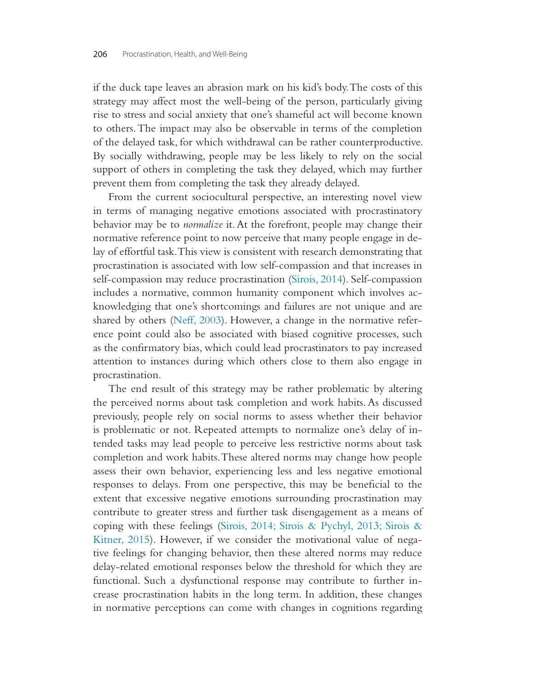if the duck tape leaves an abrasion mark on his kid's body. The costs of this strategy may affect most the well-being of the person, particularly giving rise to stress and social anxiety that one's shameful act will become known to others. The impact may also be observable in terms of the completion of the delayed task, for which withdrawal can be rather counterproductive. By socially withdrawing, people may be less likely to rely on the social support of others in completing the task they delayed, which may further prevent them from completing the task they already delayed.

From the current sociocultural perspective, an interesting novel view in terms of managing negative emotions associated with procrastinatory behavior may be to *normalize* it. At the forefront, people may change their normative reference point to now perceive that many people engage in delay of effortful task. This view is consistent with research demonstrating that procrastination is associated with low self-compassion and that increases in self-compassion may reduce procrastination (Sirois, 2014). Self-compassion includes a normative, common humanity component which involves acknowledging that one's shortcomings and failures are not unique and are shared by others (Neff, 2003). However, a change in the normative reference point could also be associated with biased cognitive processes, such as the confirmatory bias, which could lead procrastinators to pay increased attention to instances during which others close to them also engage in procrastination.

The end result of this strategy may be rather problematic by altering the perceived norms about task completion and work habits. As discussed previously, people rely on social norms to assess whether their behavior is problematic or not. Repeated attempts to normalize one's delay of intended tasks may lead people to perceive less restrictive norms about task completion and work habits. These altered norms may change how people assess their own behavior, experiencing less and less negative emotional responses to delays. From one perspective, this may be beneficial to the extent that excessive negative emotions surrounding procrastination may contribute to greater stress and further task disengagement as a means of coping with these feelings (Sirois, 2014; Sirois & Pychyl, 2013; Sirois & Kitner, 2015). However, if we consider the motivational value of negative feelings for changing behavior, then these altered norms may reduce delay-related emotional responses below the threshold for which they are functional. Such a dysfunctional response may contribute to further increase procrastination habits in the long term. In addition, these changes in normative perceptions can come with changes in cognitions regarding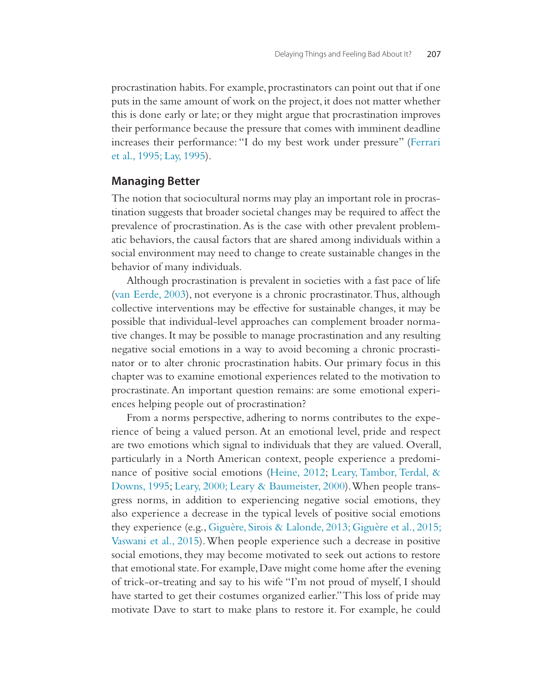procrastination habits. For example, procrastinators can point out that if one puts in the same amount of work on the project, it does not matter whether this is done early or late; or they might argue that procrastination improves their performance because the pressure that comes with imminent deadline increases their performance: "I do my best work under pressure" (Ferrari et al., 1995; Lay, 1995).

#### **Managing Better**

The notion that sociocultural norms may play an important role in procrastination suggests that broader societal changes may be required to affect the prevalence of procrastination. As is the case with other prevalent problematic behaviors, the causal factors that are shared among individuals within a social environment may need to change to create sustainable changes in the behavior of many individuals.

Although procrastination is prevalent in societies with a fast pace of life (van Eerde, 2003), not everyone is a chronic procrastinator. Thus, although collective interventions may be effective for sustainable changes, it may be possible that individual-level approaches can complement broader normative changes. It may be possible to manage procrastination and any resulting negative social emotions in a way to avoid becoming a chronic procrastinator or to alter chronic procrastination habits. Our primary focus in this chapter was to examine emotional experiences related to the motivation to procrastinate. An important question remains: are some emotional experiences helping people out of procrastination?

From a norms perspective, adhering to norms contributes to the experience of being a valued person. At an emotional level, pride and respect are two emotions which signal to individuals that they are valued. Overall, particularly in a North American context, people experience a predominance of positive social emotions (Heine, 2012; Leary, Tambor, Terdal, & Downs, 1995; Leary, 2000; Leary & Baumeister, 2000). When people transgress norms, in addition to experiencing negative social emotions, they also experience a decrease in the typical levels of positive social emotions they experience (e.g., Giguère, Sirois & Lalonde, 2013; Giguère et al., 2015; Vaswani et al., 2015). When people experience such a decrease in positive social emotions, they may become motivated to seek out actions to restore that emotional state. For example, Dave might come home after the evening of trick-or-treating and say to his wife "I'm not proud of myself, I should have started to get their costumes organized earlier." This loss of pride may motivate Dave to start to make plans to restore it. For example, he could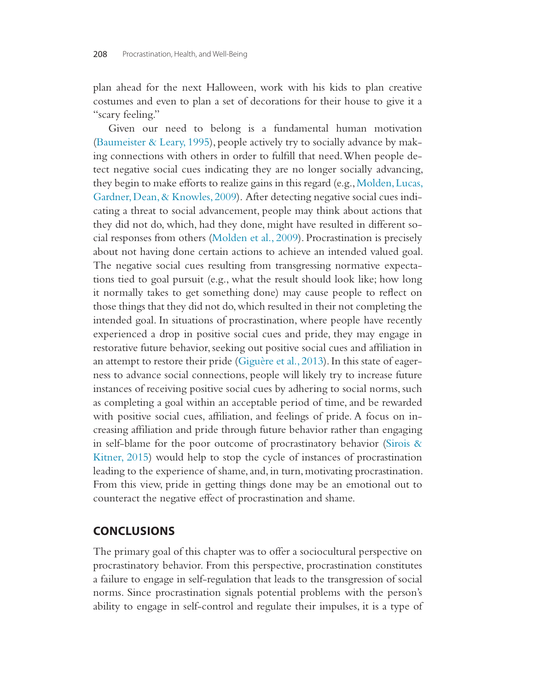plan ahead for the next Halloween, work with his kids to plan creative costumes and even to plan a set of decorations for their house to give it a "scary feeling."

Given our need to belong is a fundamental human motivation (Baumeister & Leary, 1995), people actively try to socially advance by making connections with others in order to fulfill that need. When people detect negative social cues indicating they are no longer socially advancing, they begin to make efforts to realize gains in this regard (e.g., Molden, Lucas, Gardner, Dean, & Knowles, 2009). After detecting negative social cues indicating a threat to social advancement, people may think about actions that they did not do, which, had they done, might have resulted in different social responses from others (Molden et al., 2009). Procrastination is precisely about not having done certain actions to achieve an intended valued goal. The negative social cues resulting from transgressing normative expectations tied to goal pursuit (e.g., what the result should look like; how long it normally takes to get something done) may cause people to reflect on those things that they did not do, which resulted in their not completing the intended goal. In situations of procrastination, where people have recently experienced a drop in positive social cues and pride, they may engage in restorative future behavior, seeking out positive social cues and affiliation in an attempt to restore their pride (Giguère et al., 2013). In this state of eagerness to advance social connections, people will likely try to increase future instances of receiving positive social cues by adhering to social norms, such as completing a goal within an acceptable period of time, and be rewarded with positive social cues, affiliation, and feelings of pride. A focus on increasing affiliation and pride through future behavior rather than engaging in self-blame for the poor outcome of procrastinatory behavior (Sirois & Kitner, 2015) would help to stop the cycle of instances of procrastination leading to the experience of shame, and, in turn, motivating procrastination. From this view, pride in getting things done may be an emotional out to counteract the negative effect of procrastination and shame.

#### **CONCLUSIONS**

The primary goal of this chapter was to offer a sociocultural perspective on procrastinatory behavior. From this perspective, procrastination constitutes a failure to engage in self-regulation that leads to the transgression of social norms. Since procrastination signals potential problems with the person's ability to engage in self-control and regulate their impulses, it is a type of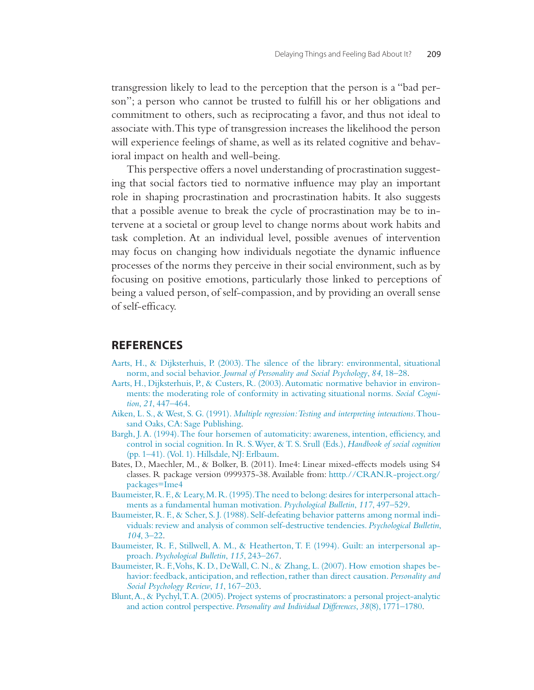transgression likely to lead to the perception that the person is a "bad person"; a person who cannot be trusted to fulfill his or her obligations and commitment to others, such as reciprocating a favor, and thus not ideal to associate with. This type of transgression increases the likelihood the person will experience feelings of shame, as well as its related cognitive and behavioral impact on health and well-being.

This perspective offers a novel understanding of procrastination suggesting that social factors tied to normative influence may play an important role in shaping procrastination and procrastination habits. It also suggests that a possible avenue to break the cycle of procrastination may be to intervene at a societal or group level to change norms about work habits and task completion. At an individual level, possible avenues of intervention may focus on changing how individuals negotiate the dynamic influence processes of the norms they perceive in their social environment, such as by focusing on positive emotions, particularly those linked to perceptions of being a valued person, of self-compassion, and by providing an overall sense of self-efficacy.

#### **REFERENCES**

- Aarts, H., & Dijksterhuis, P. (2003). The silence of the library: environmental, situational norm, and social behavior. *Journal of Personality and Social Psychology*, *84*, 18–28.
- Aarts, H., Dijksterhuis, P., & Custers, R. (2003). Automatic normative behavior in environments: the moderating role of conformity in activating situational norms. *Social Cognition*, *21*, 447–464.
- Aiken, L. S., & West, S. G. (1991). *Multiple regression: Testing and interpreting interactions*. Thousand Oaks, CA: Sage Publishing.
- Bargh, J. A. (1994). The four horsemen of automaticity: awareness, intention, efficiency, and control in social cognition. In R. S. Wyer, & T. S. Srull (Eds.), *Handbook of social cognition* (pp. 1–41). (Vol. 1). Hillsdale, NJ: Erlbaum.
- Bates, D., Maechler, M., & Bolker, B. (2011). Ime4: Linear mixed-effects models using S4 classes. R package version 0999375-38. Available from: htttp.//CRAN.R-project.org/ packages=Ime4
- Baumeister, R. F., & Leary, M. R. (1995). The need to belong: desires for interpersonal attachments as a fundamental human motivation. *Psychological Bulletin*, *117*, 497–529.
- Baumeister, R. F., & Scher, S. J. (1988). Self-defeating behavior patterns among normal individuals: review and analysis of common self-destructive tendencies. *Psychological Bulletin*, *104*, 3–22.
- Baumeister, R. F., Stillwell, A. M., & Heatherton, T. F. (1994). Guilt: an interpersonal approach. *Psychological Bulletin*, *115*, 243–267.
- Baumeister, R. F., Vohs, K. D., DeWall, C. N., & Zhang, L. (2007). How emotion shapes behavior: feedback, anticipation, and reflection, rather than direct causation. *Personality and Social Psychology Review*, *11*, 167–203.
- Blunt, A., & Pychyl, T. A. (2005). Project systems of procrastinators: a personal project-analytic and action control perspective. *Personality and Individual Differences*, *38*(8), 1771–1780.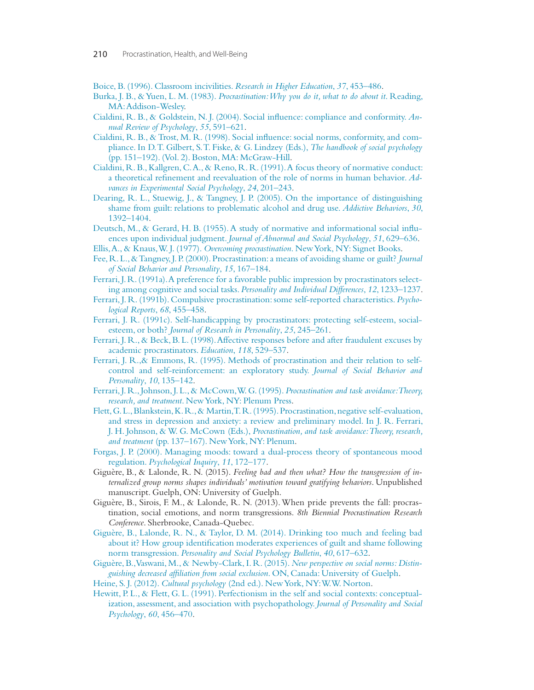Boice, B. (1996). Classroom incivilities. *Research in Higher Education*, *37*, 453–486.

- Burka, J. B., & Yuen, L. M. (1983). *Procrastination: Why you do it, what to do about it*. Reading, MA: Addison-Wesley.
- Cialdini, R. B., & Goldstein, N. J. (2004). Social influence: compliance and conformity. *Annual Review of Psychology*, *55*, 591–621.
- Cialdini, R. B., & Trost, M. R. (1998). Social influence: social norms, conformity, and compliance. In D. T. Gilbert, S. T. Fiske, & G. Lindzey (Eds.), *The handbook of social psychology* (pp. 151–192). (Vol. 2). Boston, MA: McGraw-Hill.
- Cialdini, R. B., Kallgren, C. A., & Reno, R. R. (1991). A focus theory of normative conduct: a theoretical refinement and reevaluation of the role of norms in human behavior. *Advances in Experimental Social Psychology*, *24*, 201–243.
- Dearing, R. L., Stuewig, J., & Tangney, J. P. (2005). On the importance of distinguishing shame from guilt: relations to problematic alcohol and drug use. *Addictive Behaviors*, *30*, 1392–1404.
- Deutsch, M., & Gerard, H. B. (1955). A study of normative and informational social influences upon individual judgment. *Journal of Abnormal and Social Psychology*, *51*, 629–636.
- Ellis, A., & Knaus, W. J. (1977). *Overcoming procrastination*. New York, NY: Signet Books.
- Fee, R. L., & Tangney, J. P. (2000). Procrastination: a means of avoiding shame or guilt? *Journal of Social Behavior and Personality*, *15*, 167–184.
- Ferrari, J. R. (1991a). A preference for a favorable public impression by procrastinators selecting among cognitive and social tasks. *Personality and Individual Differences*, *12*, 1233–1237.
- Ferrari, J. R. (1991b). Compulsive procrastination: some self-reported characteristics. *Psychological Reports*, *68*, 455–458.
- Ferrari, J. R. (1991c). Self-handicapping by procrastinators: protecting self-esteem, socialesteem, or both? *Journal of Research in Personality*, *25*, 245–261.
- Ferrari, J. R., & Beck, B. L. (1998). Affective responses before and after fraudulent excuses by academic procrastinators. *Education*, *118*, 529–537.
- Ferrari, J. R.,& Emmons, R. (1995). Methods of procrastination and their relation to selfcontrol and self-reinforcement: an exploratory study. *Journal of Social Behavior and Personality*, *10*, 135–142.
- Ferrari, J. R., Johnson, J. L., & McCown, W. G. (1995). *Procrastination and task avoidance: Theory, research, and treatment*. New York, NY: Plenum Press.
- Flett, G. L., Blankstein, K. R., & Martin, T. R. (1995). Procrastination, negative self-evaluation, and stress in depression and anxiety: a review and preliminary model. In J. R. Ferrari, J. H. Johnson, & W. G. McCown (Eds.), *Procrastination, and task avoidance: Theory, research, and treatment* (pp. 137–167). New York, NY: Plenum.
- Forgas, J. P. (2000). Managing moods: toward a dual-process theory of spontaneous mood regulation. *Psychological Inquiry*, *11*, 172–177.
- Giguère, B., & Lalonde, R. N. (2015). *Feeling bad and then what? How the transgression of internalized group norms shapes individuals' motivation toward gratifying behaviors*. Unpublished manuscript. Guelph, ON: University of Guelph.
- Giguère, B., Sirois, F. M., & Lalonde, R. N. (2013). When pride prevents the fall: procrastination, social emotions, and norm transgressions. *8th Biennial Procrastination Research Conference*. Sherbrooke, Canada-Quebec.
- Giguère, B., Lalonde, R. N., & Taylor, D. M. (2014). Drinking too much and feeling bad about it? How group identification moderates experiences of guilt and shame following norm transgression. *Personality and Social Psychology Bulletin*, *40*, 617–632.
- Giguère, B., Vaswani, M., & Newby-Clark, I. R. (2015). *New perspective on social norms: Distinguishing decreased affiliation from social exclusion*. ON, Canada: University of Guelph.
- Heine, S. J. (2012). *Cultural psychology* (2nd ed.). New York, NY: W.W. Norton.
- Hewitt, P. L., & Flett, G. L. (1991). Perfectionism in the self and social contexts: conceptualization, assessment, and association with psychopathology. *Journal of Personality and Social Psychology*, *60*, 456–470.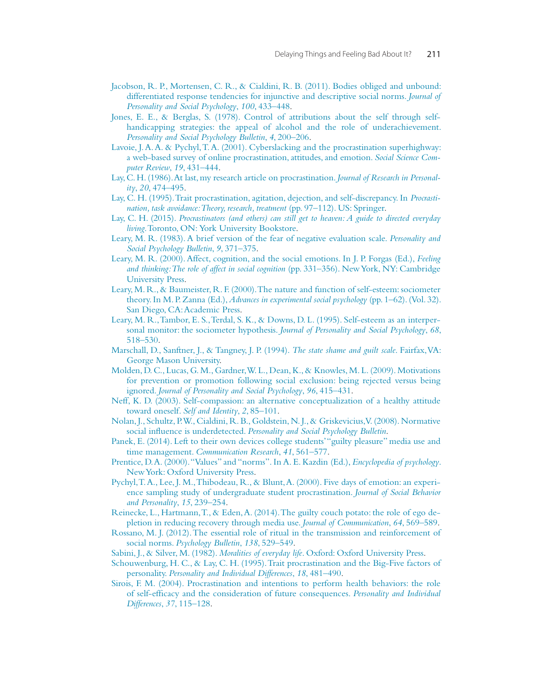- Jacobson, R. P., Mortensen, C. R., & Cialdini, R. B. (2011). Bodies obliged and unbound: differentiated response tendencies for injunctive and descriptive social norms. *Journal of Personality and Social Psychology*, *100*, 433–448.
- Jones, E. E., & Berglas, S. (1978). Control of attributions about the self through selfhandicapping strategies: the appeal of alcohol and the role of underachievement. *Personality and Social Psychology Bulletin*, *4*, 200–206.
- Lavoie, J. A. A. & Pychyl, T. A. (2001). Cyberslacking and the procrastination superhighway: a web-based survey of online procrastination, attitudes, and emotion. *Social Science Computer Review*, *19*, 431–444.
- Lay, C. H. (1986). At last, my research article on procrastination. *Journal of Research in Personality*, *20*, 474–495.
- Lay, C. H. (1995). Trait procrastination, agitation, dejection, and self-discrepancy. In *Procrastination, task avoidance: Theory, research, treatment* (pp. 97–112). US: Springer.
- Lay, C. H. (2015). *Procrastinators (and others) can still get to heaven: A guide to directed everyday living*. Toronto, ON: York University Bookstore.
- Leary, M. R. (1983). A brief version of the fear of negative evaluation scale. *Personality and Social Psychology Bulletin*, *9*, 371–375.
- Leary, M. R. (2000). Affect, cognition, and the social emotions. In J. P. Forgas (Ed.), *Feeling and thinking: The role of affect in social cognition* (pp. 331–356). New York, NY: Cambridge University Press.
- Leary, M. R., & Baumeister, R. F. (2000). The nature and function of self-esteem: sociometer theory. In M. P. Zanna (Ed.), *Advances in experimental social psychology* (pp. 1–62). (Vol. 32). San Diego, CA: Academic Press.
- Leary, M. R., Tambor, E. S., Terdal, S. K., & Downs, D. L. (1995). Self-esteem as an interpersonal monitor: the sociometer hypothesis. *Journal of Personality and Social Psychology*, *68*, 518–530.
- Marschall, D., Sanftner, J., & Tangney, J. P. (1994). *The state shame and guilt scale*. Fairfax, VA: George Mason University.
- Molden, D. C., Lucas, G. M., Gardner, W. L., Dean, K., & Knowles, M. L. (2009). Motivations for prevention or promotion following social exclusion: being rejected versus being ignored. *Journal of Personality and Social Psychology*, *96*, 415–431.
- Neff, K. D. (2003). Self-compassion: an alternative conceptualization of a healthy attitude toward oneself. *Self and Identity*, *2*, 85–101.
- Nolan, J., Schultz, P. W., Cialdini, R. B., Goldstein, N. J., & Griskevicius, V. (2008). Normative social influence is underdetected. *Personality and Social Psychology Bulletin*.
- Panek, E. (2014). Left to their own devices college students' "guilty pleasure" media use and time management. *Communication Research*, *41*, 561–577.
- Prentice, D. A. (2000). "Values" and "norms". In A. E. Kazdin (Ed.), *Encyclopedia of psychology*. New York: Oxford University Press.
- Pychyl, T. A., Lee, J. M., Thibodeau, R., & Blunt, A. (2000). Five days of emotion: an experience sampling study of undergraduate student procrastination. *Journal of Social Behavior and Personality*, *15*, 239–254.
- Reinecke, L., Hartmann, T., & Eden, A. (2014). The guilty couch potato: the role of ego depletion in reducing recovery through media use. *Journal of Communication*, *64*, 569–589.
- Rossano, M. J. (2012). The essential role of ritual in the transmission and reinforcement of social norms. *Psychology Bulletin*, *138*, 529–549.
- Sabini, J., & Silver, M. (1982). *Moralities of everyday life*. Oxford: Oxford University Press.
- Schouwenburg, H. C., & Lay, C. H. (1995). Trait procrastination and the Big-Five factors of personality. *Personality and Individual Differences*, *18*, 481–490.
- Sirois, F. M. (2004). Procrastination and intentions to perform health behaviors: the role of self-efficacy and the consideration of future consequences. *Personality and Individual Differences*, *37*, 115–128.